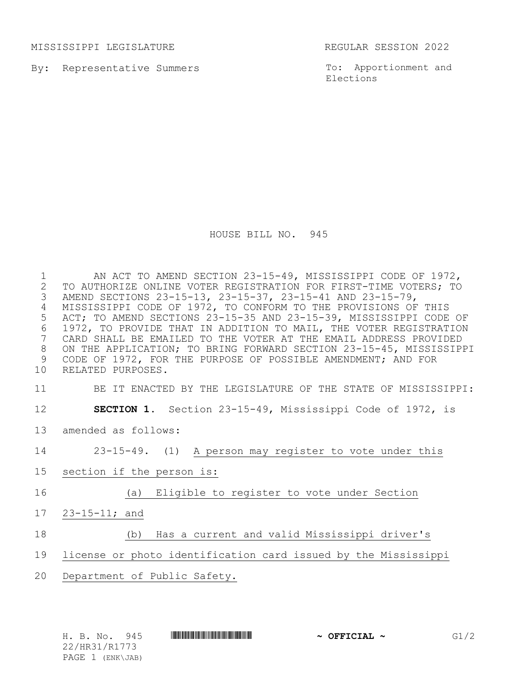MISSISSIPPI LEGISLATURE REGULAR SESSION 2022

By: Representative Summers

To: Apportionment and Elections

HOUSE BILL NO. 945

 AN ACT TO AMEND SECTION 23-15-49, MISSISSIPPI CODE OF 1972, TO AUTHORIZE ONLINE VOTER REGISTRATION FOR FIRST-TIME VOTERS; TO AMEND SECTIONS 23-15-13, 23-15-37, 23-15-41 AND 23-15-79, MISSISSIPPI CODE OF 1972, TO CONFORM TO THE PROVISIONS OF THIS ACT; TO AMEND SECTIONS 23-15-35 AND 23-15-39, MISSISSIPPI CODE OF 6 1972, TO PROVIDE THAT IN ADDITION TO MAIL, THE VOTER REGISTRATION<br>7 CARD SHALL BE EMAILED TO THE VOTER AT THE EMAIL ADDRESS PROVIDED CARD SHALL BE EMAILED TO THE VOTER AT THE EMAIL ADDRESS PROVIDED ON THE APPLICATION; TO BRING FORWARD SECTION 23-15-45, MISSISSIPPI CODE OF 1972, FOR THE PURPOSE OF POSSIBLE AMENDMENT; AND FOR RELATED PURPOSES.

## BE IT ENACTED BY THE LEGISLATURE OF THE STATE OF MISSISSIPPI:

- **SECTION 1.** Section 23-15-49, Mississippi Code of 1972, is
- amended as follows:

23-15-49. (1) A person may register to vote under this

- section if the person is:
- (a) Eligible to register to vote under Section
- 23-15-11; and

## (b) Has a current and valid Mississippi driver's

## license or photo identification card issued by the Mississippi

Department of Public Safety.

22/HR31/R1773 PAGE 1 (ENK\JAB)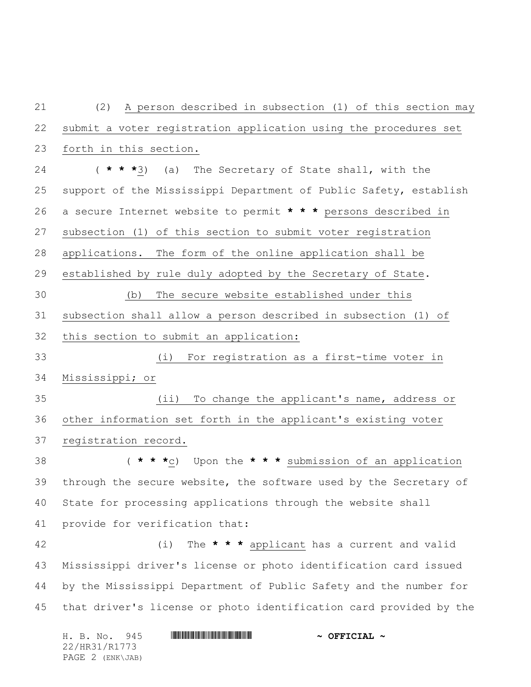(2) A person described in subsection (1) of this section may submit a voter registration application using the procedures set forth in this section. ( **\* \* \***3) (a) The Secretary of State shall, with the support of the Mississippi Department of Public Safety, establish a secure Internet website to permit **\* \* \*** persons described in subsection (1) of this section to submit voter registration applications. The form of the online application shall be established by rule duly adopted by the Secretary of State. (b) The secure website established under this subsection shall allow a person described in subsection (1) of this section to submit an application: (i) For registration as a first-time voter in Mississippi; or (ii) To change the applicant's name, address or other information set forth in the applicant's existing voter registration record. ( **\* \* \***c) Upon the **\* \* \*** submission of an application through the secure website, the software used by the Secretary of State for processing applications through the website shall provide for verification that: (i) The **\* \* \*** applicant has a current and valid Mississippi driver's license or photo identification card issued by the Mississippi Department of Public Safety and the number for that driver's license or photo identification card provided by the

H. B. No. 945 \*HR31/R1773\* **~ OFFICIAL ~** 22/HR31/R1773 PAGE 2 (ENK\JAB)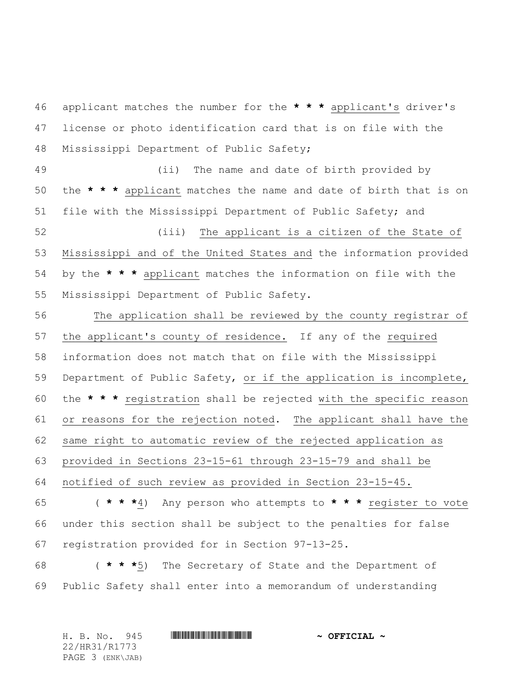applicant matches the number for the **\* \* \*** applicant's driver's license or photo identification card that is on file with the Mississippi Department of Public Safety;

 (ii) The name and date of birth provided by the **\* \* \*** applicant matches the name and date of birth that is on file with the Mississippi Department of Public Safety; and

 (iii) The applicant is a citizen of the State of Mississippi and of the United States and the information provided by the **\* \* \*** applicant matches the information on file with the Mississippi Department of Public Safety.

 The application shall be reviewed by the county registrar of the applicant's county of residence. If any of the required information does not match that on file with the Mississippi Department of Public Safety, or if the application is incomplete, the **\* \* \*** registration shall be rejected with the specific reason or reasons for the rejection noted. The applicant shall have the same right to automatic review of the rejected application as provided in Sections 23-15-61 through 23-15-79 and shall be notified of such review as provided in Section 23-15-45. ( **\* \* \***4) Any person who attempts to **\* \* \*** register to vote under this section shall be subject to the penalties for false

registration provided for in Section 97-13-25.

 ( **\* \* \***5) The Secretary of State and the Department of Public Safety shall enter into a memorandum of understanding

H. B. No. 945 \*HR31/R1773\* **~ OFFICIAL ~** 22/HR31/R1773 PAGE 3 (ENK\JAB)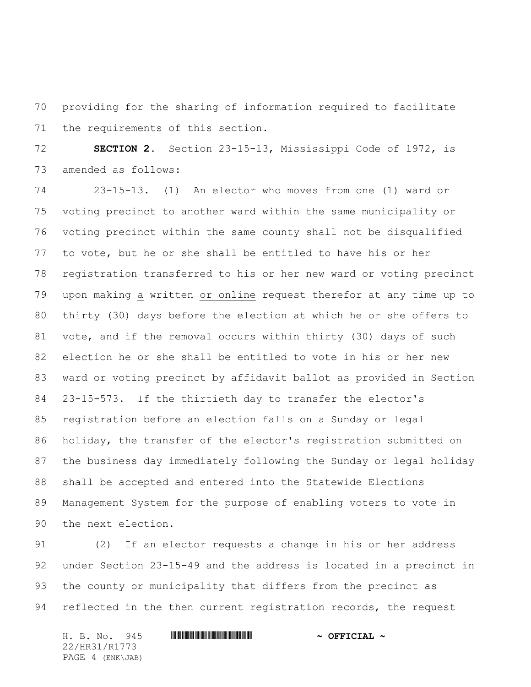providing for the sharing of information required to facilitate the requirements of this section.

 **SECTION 2.** Section 23-15-13, Mississippi Code of 1972, is amended as follows:

 23-15-13. (1) An elector who moves from one (1) ward or voting precinct to another ward within the same municipality or voting precinct within the same county shall not be disqualified to vote, but he or she shall be entitled to have his or her registration transferred to his or her new ward or voting precinct upon making a written or online request therefor at any time up to thirty (30) days before the election at which he or she offers to vote, and if the removal occurs within thirty (30) days of such election he or she shall be entitled to vote in his or her new ward or voting precinct by affidavit ballot as provided in Section 23-15-573. If the thirtieth day to transfer the elector's registration before an election falls on a Sunday or legal holiday, the transfer of the elector's registration submitted on the business day immediately following the Sunday or legal holiday shall be accepted and entered into the Statewide Elections 89 Management System for the purpose of enabling voters to vote in the next election.

 (2) If an elector requests a change in his or her address under Section 23-15-49 and the address is located in a precinct in the county or municipality that differs from the precinct as 94 reflected in the then current registration records, the request

22/HR31/R1773 PAGE 4 (ENK\JAB)

H. B. No. 945 \*HR31/R1773\* **~ OFFICIAL ~**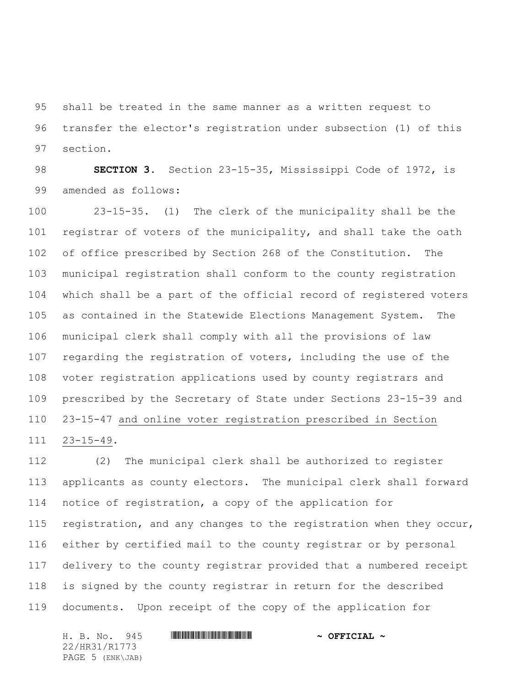shall be treated in the same manner as a written request to transfer the elector's registration under subsection (1) of this section.

 **SECTION 3.** Section 23-15-35, Mississippi Code of 1972, is amended as follows:

 23-15-35. (1) The clerk of the municipality shall be the registrar of voters of the municipality, and shall take the oath of office prescribed by Section 268 of the Constitution. The municipal registration shall conform to the county registration which shall be a part of the official record of registered voters as contained in the Statewide Elections Management System. The municipal clerk shall comply with all the provisions of law regarding the registration of voters, including the use of the voter registration applications used by county registrars and prescribed by the Secretary of State under Sections 23-15-39 and 23-15-47 and online voter registration prescribed in Section 23-15-49.

 (2) The municipal clerk shall be authorized to register applicants as county electors. The municipal clerk shall forward notice of registration, a copy of the application for registration, and any changes to the registration when they occur, either by certified mail to the county registrar or by personal delivery to the county registrar provided that a numbered receipt is signed by the county registrar in return for the described documents. Upon receipt of the copy of the application for

H. B. No. 945 \*HR31/R1773\* **~ OFFICIAL ~** 22/HR31/R1773 PAGE 5 (ENK\JAB)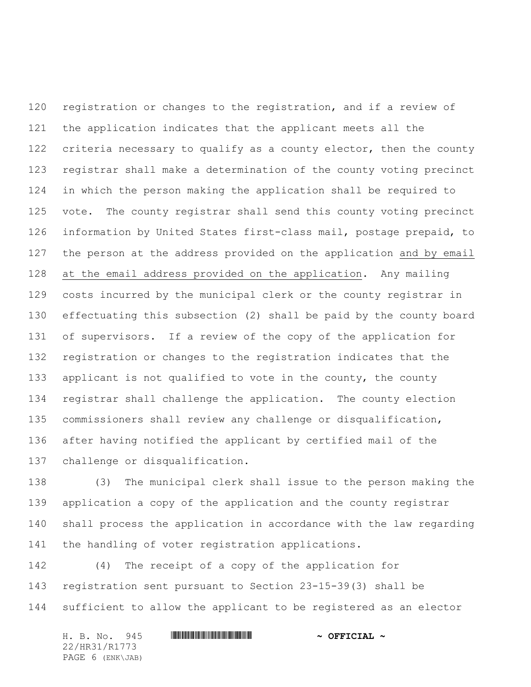registration or changes to the registration, and if a review of the application indicates that the applicant meets all the 122 criteria necessary to qualify as a county elector, then the county registrar shall make a determination of the county voting precinct in which the person making the application shall be required to vote. The county registrar shall send this county voting precinct information by United States first-class mail, postage prepaid, to the person at the address provided on the application and by email at the email address provided on the application. Any mailing costs incurred by the municipal clerk or the county registrar in effectuating this subsection (2) shall be paid by the county board of supervisors. If a review of the copy of the application for registration or changes to the registration indicates that the applicant is not qualified to vote in the county, the county registrar shall challenge the application. The county election commissioners shall review any challenge or disqualification, after having notified the applicant by certified mail of the challenge or disqualification.

 (3) The municipal clerk shall issue to the person making the application a copy of the application and the county registrar shall process the application in accordance with the law regarding the handling of voter registration applications.

 (4) The receipt of a copy of the application for registration sent pursuant to Section 23-15-39(3) shall be sufficient to allow the applicant to be registered as an elector

|  | H. B. No. 945    |  | $\sim$ OFFICIAL $\sim$ |
|--|------------------|--|------------------------|
|  | 22/HR31/R1773    |  |                        |
|  | PAGE 6 (ENK\JAB) |  |                        |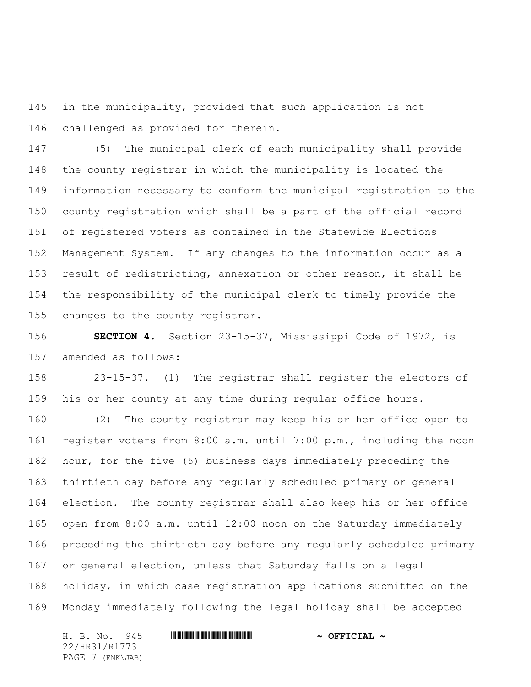in the municipality, provided that such application is not challenged as provided for therein.

 (5) The municipal clerk of each municipality shall provide the county registrar in which the municipality is located the information necessary to conform the municipal registration to the county registration which shall be a part of the official record of registered voters as contained in the Statewide Elections Management System. If any changes to the information occur as a result of redistricting, annexation or other reason, it shall be the responsibility of the municipal clerk to timely provide the changes to the county registrar.

 **SECTION 4.** Section 23-15-37, Mississippi Code of 1972, is amended as follows:

 23-15-37. (1) The registrar shall register the electors of his or her county at any time during regular office hours.

 (2) The county registrar may keep his or her office open to register voters from 8:00 a.m. until 7:00 p.m., including the noon hour, for the five (5) business days immediately preceding the thirtieth day before any regularly scheduled primary or general election. The county registrar shall also keep his or her office open from 8:00 a.m. until 12:00 noon on the Saturday immediately preceding the thirtieth day before any regularly scheduled primary or general election, unless that Saturday falls on a legal holiday, in which case registration applications submitted on the Monday immediately following the legal holiday shall be accepted

22/HR31/R1773 PAGE 7 (ENK\JAB)

H. B. No. 945 \*HR31/R1773\* **~ OFFICIAL ~**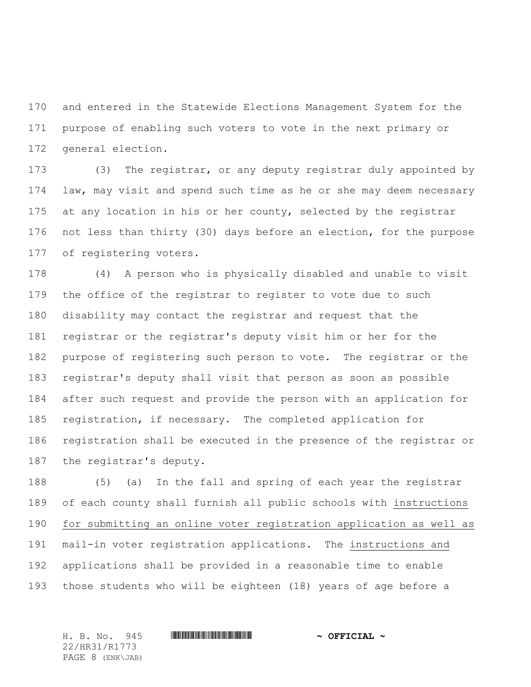and entered in the Statewide Elections Management System for the purpose of enabling such voters to vote in the next primary or general election.

 (3) The registrar, or any deputy registrar duly appointed by law, may visit and spend such time as he or she may deem necessary 175 at any location in his or her county, selected by the registrar not less than thirty (30) days before an election, for the purpose of registering voters.

 (4) A person who is physically disabled and unable to visit the office of the registrar to register to vote due to such disability may contact the registrar and request that the registrar or the registrar's deputy visit him or her for the purpose of registering such person to vote. The registrar or the registrar's deputy shall visit that person as soon as possible after such request and provide the person with an application for registration, if necessary. The completed application for registration shall be executed in the presence of the registrar or the registrar's deputy.

 (5) (a) In the fall and spring of each year the registrar of each county shall furnish all public schools with instructions for submitting an online voter registration application as well as mail-in voter registration applications. The instructions and applications shall be provided in a reasonable time to enable those students who will be eighteen (18) years of age before a

22/HR31/R1773 PAGE 8 (ENK\JAB)

H. B. No. 945 \*HR31/R1773\* **~ OFFICIAL ~**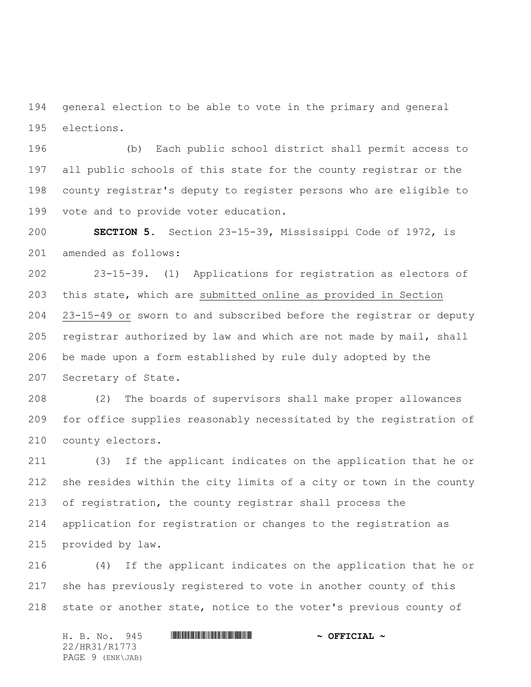general election to be able to vote in the primary and general elections.

 (b) Each public school district shall permit access to all public schools of this state for the county registrar or the county registrar's deputy to register persons who are eligible to vote and to provide voter education.

 **SECTION 5.** Section 23-15-39, Mississippi Code of 1972, is amended as follows:

 23-15-39. (1) Applications for registration as electors of this state, which are submitted online as provided in Section 23-15-49 or sworn to and subscribed before the registrar or deputy registrar authorized by law and which are not made by mail, shall be made upon a form established by rule duly adopted by the Secretary of State.

 (2) The boards of supervisors shall make proper allowances for office supplies reasonably necessitated by the registration of county electors.

 (3) If the applicant indicates on the application that he or she resides within the city limits of a city or town in the county of registration, the county registrar shall process the application for registration or changes to the registration as provided by law.

 (4) If the applicant indicates on the application that he or she has previously registered to vote in another county of this 218 state or another state, notice to the voter's previous county of

H. B. No. 945 \*HR31/R1773\* **~ OFFICIAL ~** 22/HR31/R1773 PAGE 9 (ENK\JAB)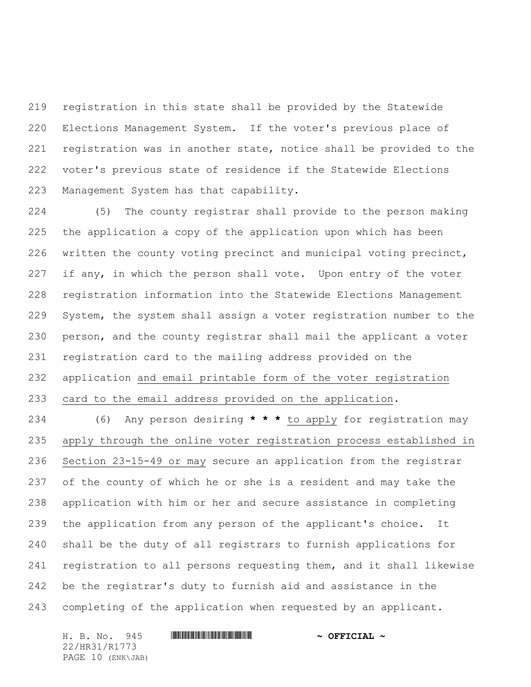registration in this state shall be provided by the Statewide Elections Management System. If the voter's previous place of registration was in another state, notice shall be provided to the voter's previous state of residence if the Statewide Elections Management System has that capability.

 (5) The county registrar shall provide to the person making the application a copy of the application upon which has been written the county voting precinct and municipal voting precinct, 227 if any, in which the person shall vote. Upon entry of the voter registration information into the Statewide Elections Management System, the system shall assign a voter registration number to the person, and the county registrar shall mail the applicant a voter registration card to the mailing address provided on the application and email printable form of the voter registration card to the email address provided on the application.

 (6) Any person desiring **\* \* \*** to apply for registration may apply through the online voter registration process established in Section 23-15-49 or may secure an application from the registrar of the county of which he or she is a resident and may take the application with him or her and secure assistance in completing the application from any person of the applicant's choice. It shall be the duty of all registrars to furnish applications for registration to all persons requesting them, and it shall likewise be the registrar's duty to furnish aid and assistance in the completing of the application when requested by an applicant.

H. B. No. 945 \*HR31/R1773\* **~ OFFICIAL ~** 22/HR31/R1773 PAGE 10 (ENK\JAB)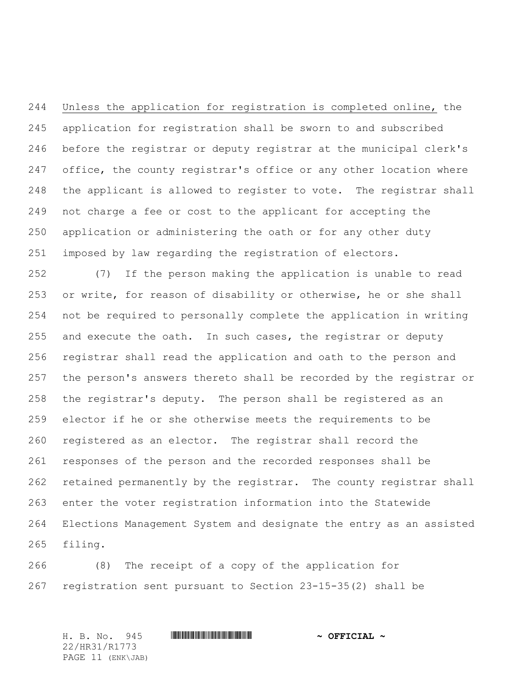Unless the application for registration is completed online, the application for registration shall be sworn to and subscribed before the registrar or deputy registrar at the municipal clerk's 247 office, the county registrar's office or any other location where the applicant is allowed to register to vote. The registrar shall not charge a fee or cost to the applicant for accepting the application or administering the oath or for any other duty imposed by law regarding the registration of electors.

 (7) If the person making the application is unable to read or write, for reason of disability or otherwise, he or she shall not be required to personally complete the application in writing and execute the oath. In such cases, the registrar or deputy registrar shall read the application and oath to the person and the person's answers thereto shall be recorded by the registrar or the registrar's deputy. The person shall be registered as an elector if he or she otherwise meets the requirements to be registered as an elector. The registrar shall record the responses of the person and the recorded responses shall be retained permanently by the registrar. The county registrar shall enter the voter registration information into the Statewide Elections Management System and designate the entry as an assisted filing.

 (8) The receipt of a copy of the application for registration sent pursuant to Section 23-15-35(2) shall be

H. B. No. 945 \*HR31/R1773\* **~ OFFICIAL ~** 22/HR31/R1773 PAGE 11 (ENK\JAB)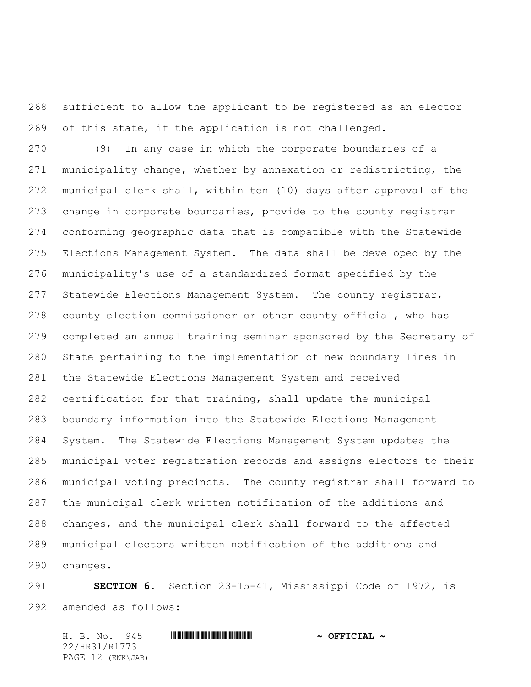sufficient to allow the applicant to be registered as an elector of this state, if the application is not challenged.

 (9) In any case in which the corporate boundaries of a municipality change, whether by annexation or redistricting, the municipal clerk shall, within ten (10) days after approval of the change in corporate boundaries, provide to the county registrar conforming geographic data that is compatible with the Statewide Elections Management System. The data shall be developed by the municipality's use of a standardized format specified by the Statewide Elections Management System. The county registrar, county election commissioner or other county official, who has completed an annual training seminar sponsored by the Secretary of State pertaining to the implementation of new boundary lines in the Statewide Elections Management System and received certification for that training, shall update the municipal boundary information into the Statewide Elections Management System. The Statewide Elections Management System updates the municipal voter registration records and assigns electors to their municipal voting precincts. The county registrar shall forward to the municipal clerk written notification of the additions and changes, and the municipal clerk shall forward to the affected municipal electors written notification of the additions and changes.

 **SECTION 6.** Section 23-15-41, Mississippi Code of 1972, is amended as follows:

H. B. No. 945 \*HR31/R1773\* **~ OFFICIAL ~** 22/HR31/R1773 PAGE 12 (ENK\JAB)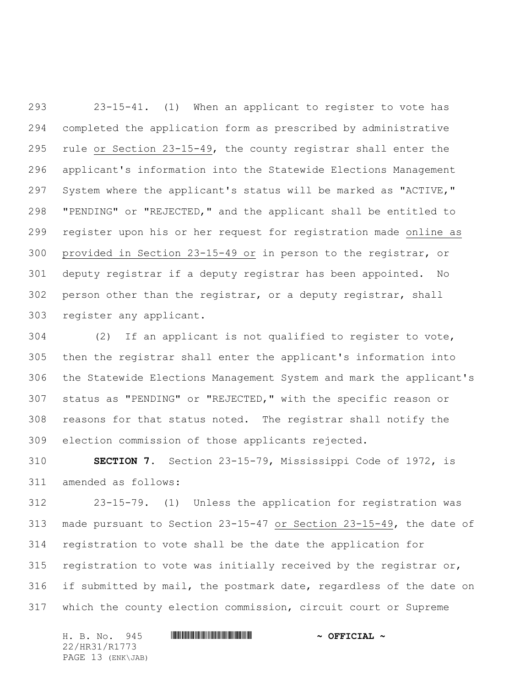23-15-41. (1) When an applicant to register to vote has completed the application form as prescribed by administrative rule or Section 23-15-49, the county registrar shall enter the applicant's information into the Statewide Elections Management System where the applicant's status will be marked as "ACTIVE," "PENDING" or "REJECTED," and the applicant shall be entitled to register upon his or her request for registration made online as provided in Section 23-15-49 or in person to the registrar, or deputy registrar if a deputy registrar has been appointed. No person other than the registrar, or a deputy registrar, shall register any applicant.

 (2) If an applicant is not qualified to register to vote, then the registrar shall enter the applicant's information into the Statewide Elections Management System and mark the applicant's status as "PENDING" or "REJECTED," with the specific reason or reasons for that status noted. The registrar shall notify the election commission of those applicants rejected.

 **SECTION 7.** Section 23-15-79, Mississippi Code of 1972, is amended as follows:

 23-15-79. (1) Unless the application for registration was made pursuant to Section 23-15-47 or Section 23-15-49, the date of registration to vote shall be the date the application for 315 registration to vote was initially received by the registrar or, if submitted by mail, the postmark date, regardless of the date on which the county election commission, circuit court or Supreme

H. B. No. 945 \*HR31/R1773\* **~ OFFICIAL ~** 22/HR31/R1773 PAGE 13 (ENK\JAB)